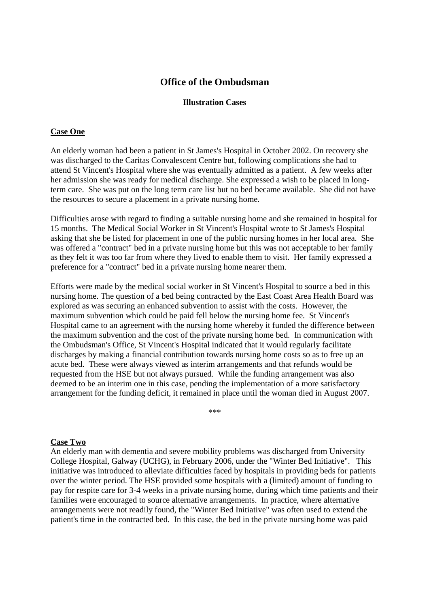# **Office of the Ombudsman**

#### **Illustration Cases**

### **Case One**

An elderly woman had been a patient in St James's Hospital in October 2002. On recovery she was discharged to the Caritas Convalescent Centre but, following complications she had to attend St Vincent's Hospital where she was eventually admitted as a patient. A few weeks after her admission she was ready for medical discharge. She expressed a wish to be placed in longterm care. She was put on the long term care list but no bed became available. She did not have the resources to secure a placement in a private nursing home.

Difficulties arose with regard to finding a suitable nursing home and she remained in hospital for 15 months. The Medical Social Worker in St Vincent's Hospital wrote to St James's Hospital asking that she be listed for placement in one of the public nursing homes in her local area. She was offered a "contract" bed in a private nursing home but this was not acceptable to her family as they felt it was too far from where they lived to enable them to visit. Her family expressed a preference for a "contract" bed in a private nursing home nearer them.

Efforts were made by the medical social worker in St Vincent's Hospital to source a bed in this nursing home. The question of a bed being contracted by the East Coast Area Health Board was explored as was securing an enhanced subvention to assist with the costs. However, the maximum subvention which could be paid fell below the nursing home fee. St Vincent's Hospital came to an agreement with the nursing home whereby it funded the difference between the maximum subvention and the cost of the private nursing home bed. In communication with the Ombudsman's Office, St Vincent's Hospital indicated that it would regularly facilitate discharges by making a financial contribution towards nursing home costs so as to free up an acute bed. These were always viewed as interim arrangements and that refunds would be requested from the HSE but not always pursued. While the funding arrangement was also deemed to be an interim one in this case, pending the implementation of a more satisfactory arrangement for the funding deficit, it remained in place until the woman died in August 2007.

\*\*\*

# **Case Two**

An elderly man with dementia and severe mobility problems was discharged from University College Hospital, Galway (UCHG), in February 2006, under the "Winter Bed Initiative". This initiative was introduced to alleviate difficulties faced by hospitals in providing beds for patients over the winter period. The HSE provided some hospitals with a (limited) amount of funding to pay for respite care for 3-4 weeks in a private nursing home, during which time patients and their families were encouraged to source alternative arrangements. In practice, where alternative arrangements were not readily found, the "Winter Bed Initiative" was often used to extend the patient's time in the contracted bed. In this case, the bed in the private nursing home was paid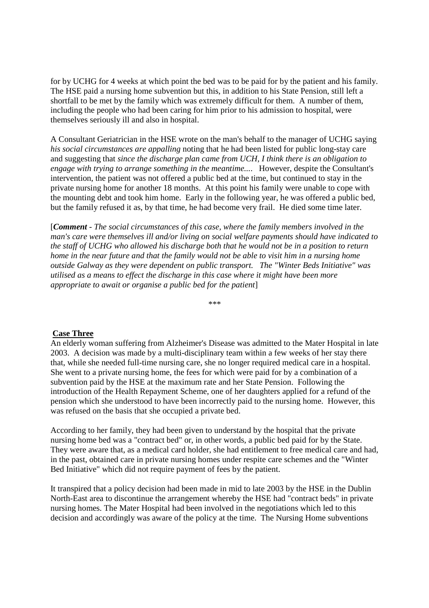for by UCHG for 4 weeks at which point the bed was to be paid for by the patient and his family. The HSE paid a nursing home subvention but this, in addition to his State Pension, still left a shortfall to be met by the family which was extremely difficult for them. A number of them, including the people who had been caring for him prior to his admission to hospital, were themselves seriously ill and also in hospital.

A Consultant Geriatrician in the HSE wrote on the man's behalf to the manager of UCHG saying *his social circumstances are appalling* noting that he had been listed for public long-stay care and suggesting that *since the discharge plan came from UCH, I think there is an obligation to engage with trying to arrange something in the meantime...*. However, despite the Consultant's intervention, the patient was not offered a public bed at the time, but continued to stay in the private nursing home for another 18 months. At this point his family were unable to cope with the mounting debt and took him home. Early in the following year, he was offered a public bed, but the family refused it as, by that time, he had become very frail. He died some time later.

[*Comment - The social circumstances of this case, where the family members involved in the man's care were themselves ill and/or living on social welfare payments should have indicated to the staff of UCHG who allowed his discharge both that he would not be in a position to return home in the near future and that the family would not be able to visit him in a nursing home outside Galway as they were dependent on public transport. The "Winter Beds Initiative" was utilised as a means to effect the discharge in this case where it might have been more appropriate to await or organise a public bed for the patient*]

\*\*\*

### **Case Three**

An elderly woman suffering from Alzheimer's Disease was admitted to the Mater Hospital in late 2003. A decision was made by a multi-disciplinary team within a few weeks of her stay there that, while she needed full-time nursing care, she no longer required medical care in a hospital. She went to a private nursing home, the fees for which were paid for by a combination of a subvention paid by the HSE at the maximum rate and her State Pension. Following the introduction of the Health Repayment Scheme, one of her daughters applied for a refund of the pension which she understood to have been incorrectly paid to the nursing home. However, this was refused on the basis that she occupied a private bed.

According to her family, they had been given to understand by the hospital that the private nursing home bed was a "contract bed" or, in other words, a public bed paid for by the State. They were aware that, as a medical card holder, she had entitlement to free medical care and had, in the past, obtained care in private nursing homes under respite care schemes and the "Winter Bed Initiative" which did not require payment of fees by the patient.

It transpired that a policy decision had been made in mid to late 2003 by the HSE in the Dublin North-East area to discontinue the arrangement whereby the HSE had "contract beds" in private nursing homes. The Mater Hospital had been involved in the negotiations which led to this decision and accordingly was aware of the policy at the time. The Nursing Home subventions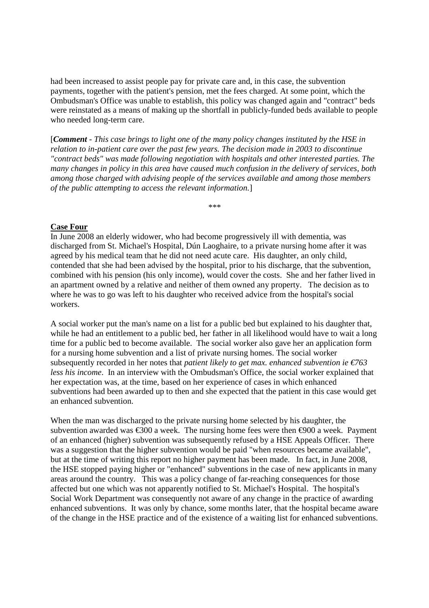had been increased to assist people pay for private care and, in this case, the subvention payments, together with the patient's pension, met the fees charged. At some point, which the Ombudsman's Office was unable to establish, this policy was changed again and "contract" beds were reinstated as a means of making up the shortfall in publicly-funded beds available to people who needed long-term care.

[*Comment* - *This case brings to light one of the many policy changes instituted by the HSE in relation to in-patient care over the past few years. The decision made in 2003 to discontinue "contract beds" was made following negotiation with hospitals and other interested parties. The many changes in policy in this area have caused much confusion in the delivery of services, both among those charged with advising people of the services available and among those members of the public attempting to access the relevant information.*]

\*\*\*

### **Case Four**

In June 2008 an elderly widower, who had become progressively ill with dementia, was discharged from St. Michael's Hospital, Dún Laoghaire, to a private nursing home after it was agreed by his medical team that he did not need acute care. His daughter, an only child, contended that she had been advised by the hospital, prior to his discharge, that the subvention, combined with his pension (his only income), would cover the costs. She and her father lived in an apartment owned by a relative and neither of them owned any property. The decision as to where he was to go was left to his daughter who received advice from the hospital's social workers.

A social worker put the man's name on a list for a public bed but explained to his daughter that, while he had an entitlement to a public bed, her father in all likelihood would have to wait a long time for a public bed to become available. The social worker also gave her an application form for a nursing home subvention and a list of private nursing homes. The social worker subsequently recorded in her notes that *patient likely to get max. enhanced subvention ie €763 less his income*. In an interview with the Ombudsman's Office, the social worker explained that her expectation was, at the time, based on her experience of cases in which enhanced subventions had been awarded up to then and she expected that the patient in this case would get an enhanced subvention.

When the man was discharged to the private nursing home selected by his daughter, the subvention awarded was  $\epsilon$ 300 a week. The nursing home fees were then  $\epsilon$ 900 a week. Payment of an enhanced (higher) subvention was subsequently refused by a HSE Appeals Officer. There was a suggestion that the higher subvention would be paid "when resources became available", but at the time of writing this report no higher payment has been made. In fact, in June 2008, the HSE stopped paying higher or "enhanced" subventions in the case of new applicants in many areas around the country. This was a policy change of far-reaching consequences for those affected but one which was not apparently notified to St. Michael's Hospital. The hospital's Social Work Department was consequently not aware of any change in the practice of awarding enhanced subventions. It was only by chance, some months later, that the hospital became aware of the change in the HSE practice and of the existence of a waiting list for enhanced subventions.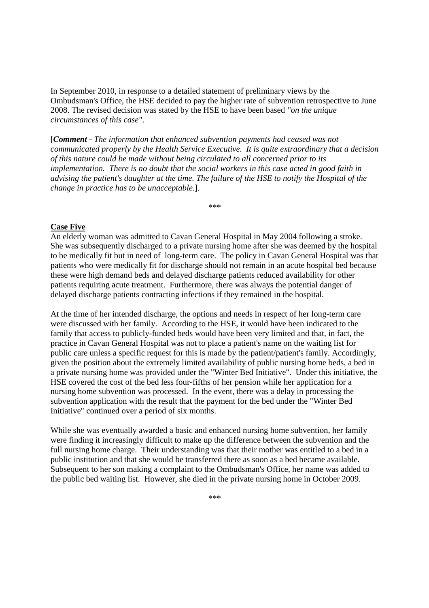In September 2010, in response to a detailed statement of preliminary views by the Ombudsman's Office, the HSE decided to pay the higher rate of subvention retrospective to June 2008. The revised decision was stated by the HSE to have been based *"on the unique circumstances of this case"*.

[*Comment - The information that enhanced subvention payments had ceased was not communicated properly by the Health Service Executive. It is quite extraordinary that a decision of this nature could be made without being circulated to all concerned prior to its implementation. There is no doubt that the social workers in this case acted in good faith in advising the patient's daughter at the time. The failure of the HSE to notify the Hospital of the change in practice has to be unacceptable.*].

\*\*\*

## **Case Five**

An elderly woman was admitted to Cavan General Hospital in May 2004 following a stroke. She was subsequently discharged to a private nursing home after she was deemed by the hospital to be medically fit but in need of long-term care. The policy in Cavan General Hospital was that patients who were medically fit for discharge should not remain in an acute hospital bed because these were high demand beds and delayed discharge patients reduced availability for other patients requiring acute treatment. Furthermore, there was always the potential danger of delayed discharge patients contracting infections if they remained in the hospital.

At the time of her intended discharge, the options and needs in respect of her long-term care were discussed with her family. According to the HSE, it would have been indicated to the family that access to publicly-funded beds would have been very limited and that, in fact, the practice in Cavan General Hospital was not to place a patient's name on the waiting list for public care unless a specific request for this is made by the patient/patient's family. Accordingly, given the position about the extremely limited availability of public nursing home beds, a bed in a private nursing home was provided under the "Winter Bed Initiative". Under this initiative, the HSE covered the cost of the bed less four-fifths of her pension while her application for a nursing home subvention was processed. In the event, there was a delay in processing the subvention application with the result that the payment for the bed under the "Winter Bed Initiative" continued over a period of six months.

While she was eventually awarded a basic and enhanced nursing home subvention, her family were finding it increasingly difficult to make up the difference between the subvention and the full nursing home charge. Their understanding was that their mother was entitled to a bed in a public institution and that she would be transferred there as soon as a bed became available. Subsequent to her son making a complaint to the Ombudsman's Office, her name was added to the public bed waiting list. However, she died in the private nursing home in October 2009.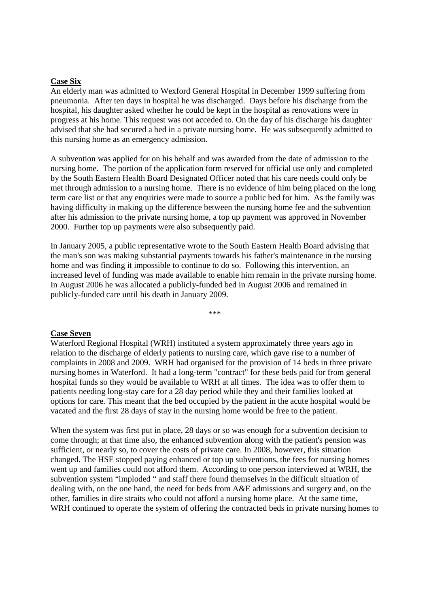### **Case Six**

An elderly man was admitted to Wexford General Hospital in December 1999 suffering from pneumonia. After ten days in hospital he was discharged. Days before his discharge from the hospital, his daughter asked whether he could be kept in the hospital as renovations were in progress at his home. This request was not acceded to. On the day of his discharge his daughter advised that she had secured a bed in a private nursing home. He was subsequently admitted to this nursing home as an emergency admission.

A subvention was applied for on his behalf and was awarded from the date of admission to the nursing home. The portion of the application form reserved for official use only and completed by the South Eastern Health Board Designated Officer noted that his care needs could only be met through admission to a nursing home. There is no evidence of him being placed on the long term care list or that any enquiries were made to source a public bed for him. As the family was having difficulty in making up the difference between the nursing home fee and the subvention after his admission to the private nursing home, a top up payment was approved in November 2000. Further top up payments were also subsequently paid.

In January 2005, a public representative wrote to the South Eastern Health Board advising that the man's son was making substantial payments towards his father's maintenance in the nursing home and was finding it impossible to continue to do so. Following this intervention, an increased level of funding was made available to enable him remain in the private nursing home. In August 2006 he was allocated a publicly-funded bed in August 2006 and remained in publicly-funded care until his death in January 2009.

\*\*\*

### **Case Seven**

Waterford Regional Hospital (WRH) instituted a system approximately three years ago in relation to the discharge of elderly patients to nursing care, which gave rise to a number of complaints in 2008 and 2009. WRH had organised for the provision of 14 beds in three private nursing homes in Waterford. It had a long-term "contract" for these beds paid for from general hospital funds so they would be available to WRH at all times. The idea was to offer them to patients needing long-stay care for a 28 day period while they and their families looked at options for care. This meant that the bed occupied by the patient in the acute hospital would be vacated and the first 28 days of stay in the nursing home would be free to the patient.

When the system was first put in place, 28 days or so was enough for a subvention decision to come through; at that time also, the enhanced subvention along with the patient's pension was sufficient, or nearly so, to cover the costs of private care. In 2008, however, this situation changed. The HSE stopped paying enhanced or top up subventions, the fees for nursing homes went up and families could not afford them. According to one person interviewed at WRH, the subvention system "imploded " and staff there found themselves in the difficult situation of dealing with, on the one hand, the need for beds from A&E admissions and surgery and, on the other, families in dire straits who could not afford a nursing home place. At the same time, WRH continued to operate the system of offering the contracted beds in private nursing homes to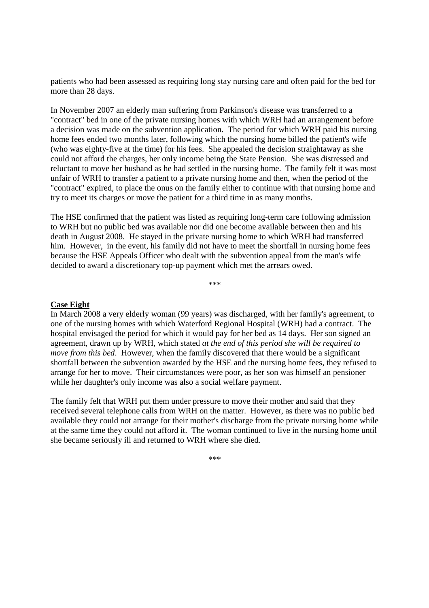patients who had been assessed as requiring long stay nursing care and often paid for the bed for more than 28 days.

In November 2007 an elderly man suffering from Parkinson's disease was transferred to a "contract" bed in one of the private nursing homes with which WRH had an arrangement before a decision was made on the subvention application. The period for which WRH paid his nursing home fees ended two months later, following which the nursing home billed the patient's wife (who was eighty-five at the time) for his fees. She appealed the decision straightaway as she could not afford the charges, her only income being the State Pension. She was distressed and reluctant to move her husband as he had settled in the nursing home. The family felt it was most unfair of WRH to transfer a patient to a private nursing home and then, when the period of the "contract" expired, to place the onus on the family either to continue with that nursing home and try to meet its charges or move the patient for a third time in as many months.

The HSE confirmed that the patient was listed as requiring long-term care following admission to WRH but no public bed was available nor did one become available between then and his death in August 2008. He stayed in the private nursing home to which WRH had transferred him. However, in the event, his family did not have to meet the shortfall in nursing home fees because the HSE Appeals Officer who dealt with the subvention appeal from the man's wife decided to award a discretionary top-up payment which met the arrears owed.

\*\*\*

### **Case Eight**

In March 2008 a very elderly woman (99 years) was discharged, with her family's agreement, to one of the nursing homes with which Waterford Regional Hospital (WRH) had a contract. The hospital envisaged the period for which it would pay for her bed as 14 days. Her son signed an agreement, drawn up by WRH, which stated *at the end of this period she will be required to move from this bed*. However, when the family discovered that there would be a significant shortfall between the subvention awarded by the HSE and the nursing home fees, they refused to arrange for her to move. Their circumstances were poor, as her son was himself an pensioner while her daughter's only income was also a social welfare payment.

The family felt that WRH put them under pressure to move their mother and said that they received several telephone calls from WRH on the matter. However, as there was no public bed available they could not arrange for their mother's discharge from the private nursing home while at the same time they could not afford it. The woman continued to live in the nursing home until she became seriously ill and returned to WRH where she died.

\*\*\*